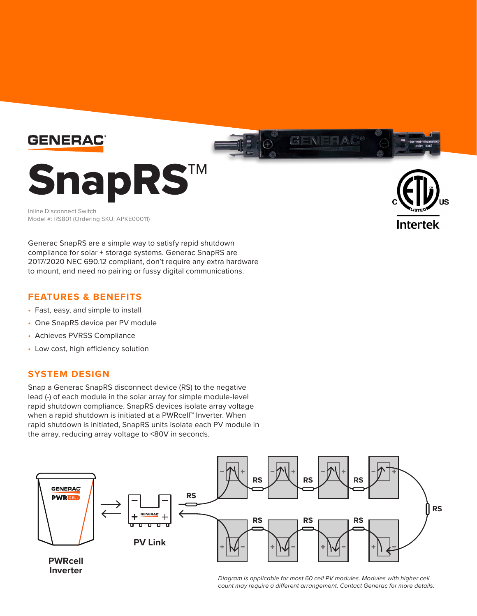

Inline Disconnect Switch Model #: RS801 (Ordering SKU: APKE00011)



Generac SnapRS are a simple way to satisfy rapid shutdown compliance for solar + storage systems. Generac SnapRS are 2017/2020 NEC 690.12 compliant, don't require any extra hardware to mount, and need no pairing or fussy digital communications.

## **FEATURES & BENEFITS**

- Fast, easy, and simple to install
- One SnapRS device per PV module
- Achieves PVRSS Compliance
- Low cost, high efficiency solution

## **SYSTEM DESIGN**

Snap a Generac SnapRS disconnect device (RS) to the negative lead (-) of each module in the solar array for simple module-level rapid shutdown compliance. SnapRS devices isolate array voltage when a rapid shutdown is initiated at a PWRcell™ Inverter. When rapid shutdown is initiated, SnapRS units isolate each PV module in the array, reducing array voltage to <80V in seconds.



*Diagram is applicable for most 60 cell PV modules. Modules with higher cell count may require a different arrangement. Contact Generac for more details.*

GENERAL